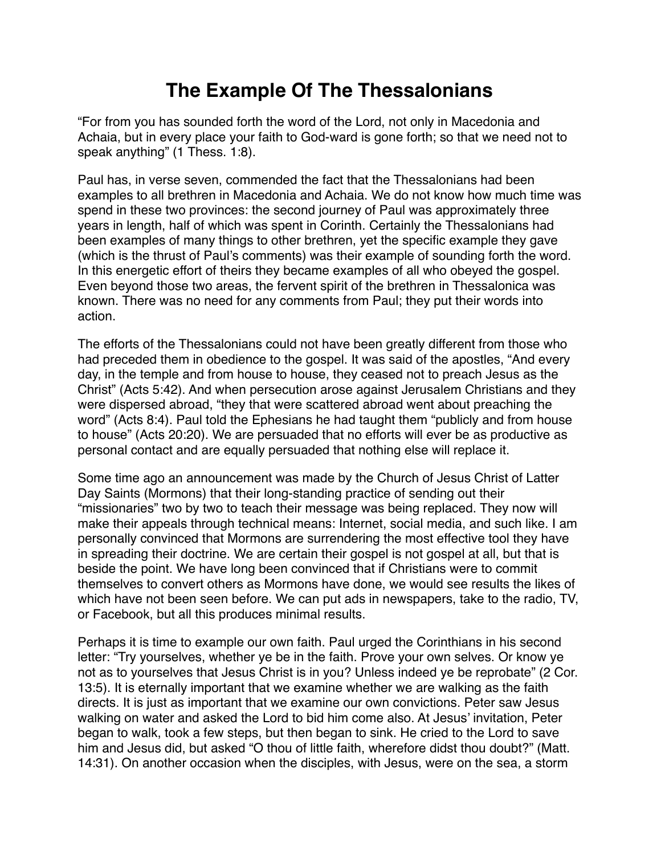## **The Example Of The Thessalonians**

"For from you has sounded forth the word of the Lord, not only in Macedonia and Achaia, but in every place your faith to God-ward is gone forth; so that we need not to speak anything" (1 Thess. 1:8).

Paul has, in verse seven, commended the fact that the Thessalonians had been examples to all brethren in Macedonia and Achaia. We do not know how much time was spend in these two provinces: the second journey of Paul was approximately three years in length, half of which was spent in Corinth. Certainly the Thessalonians had been examples of many things to other brethren, yet the specific example they gave (which is the thrust of Paul's comments) was their example of sounding forth the word. In this energetic effort of theirs they became examples of all who obeyed the gospel. Even beyond those two areas, the fervent spirit of the brethren in Thessalonica was known. There was no need for any comments from Paul; they put their words into action.

The efforts of the Thessalonians could not have been greatly different from those who had preceded them in obedience to the gospel. It was said of the apostles, "And every day, in the temple and from house to house, they ceased not to preach Jesus as the Christ" (Acts 5:42). And when persecution arose against Jerusalem Christians and they were dispersed abroad, "they that were scattered abroad went about preaching the word" (Acts 8:4). Paul told the Ephesians he had taught them "publicly and from house to house" (Acts 20:20). We are persuaded that no efforts will ever be as productive as personal contact and are equally persuaded that nothing else will replace it.

Some time ago an announcement was made by the Church of Jesus Christ of Latter Day Saints (Mormons) that their long-standing practice of sending out their "missionaries" two by two to teach their message was being replaced. They now will make their appeals through technical means: Internet, social media, and such like. I am personally convinced that Mormons are surrendering the most effective tool they have in spreading their doctrine. We are certain their gospel is not gospel at all, but that is beside the point. We have long been convinced that if Christians were to commit themselves to convert others as Mormons have done, we would see results the likes of which have not been seen before. We can put ads in newspapers, take to the radio, TV, or Facebook, but all this produces minimal results.

Perhaps it is time to example our own faith. Paul urged the Corinthians in his second letter: "Try yourselves, whether ye be in the faith. Prove your own selves. Or know ye not as to yourselves that Jesus Christ is in you? Unless indeed ye be reprobate" (2 Cor. 13:5). It is eternally important that we examine whether we are walking as the faith directs. It is just as important that we examine our own convictions. Peter saw Jesus walking on water and asked the Lord to bid him come also. At Jesus' invitation, Peter began to walk, took a few steps, but then began to sink. He cried to the Lord to save him and Jesus did, but asked "O thou of little faith, wherefore didst thou doubt?" (Matt. 14:31). On another occasion when the disciples, with Jesus, were on the sea, a storm